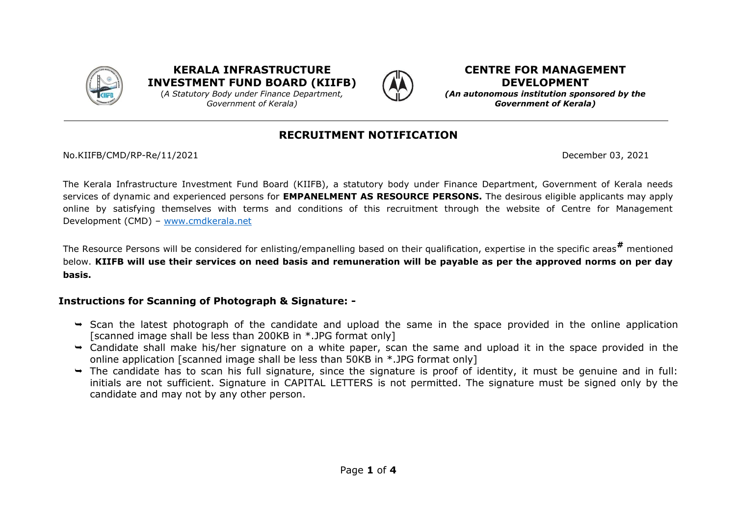

**KERALA INFRASTRUCTURE INVESTMENT FUND BOARD (KIIFB)** (*A Statutory Body under Finance Department, Government of Kerala)*



**CENTRE FOR MANAGEMENT DEVELOPMENT** *(An autonomous institution sponsored by the Government of Kerala)*

## **RECRUITMENT NOTIFICATION**

No.KIIFB/CMD/RP-Re/11/2021 December 03, 2021

The Kerala Infrastructure Investment Fund Board (KIIFB), a statutory body under Finance Department, Government of Kerala needs services of dynamic and experienced persons for **EMPANELMENT AS RESOURCE PERSONS.** The desirous eligible applicants may apply online by satisfying themselves with terms and conditions of this recruitment through the website of Centre for Management Development (CMD) – [www.cmdkerala.net](http://www.cmdkerala.net/)

The Resource Persons will be considered for enlisting/empanelling based on their qualification, expertise in the specific areas**#** mentioned below. **KIIFB will use their services on need basis and remuneration will be payable as per the approved norms on per day basis.**

## **Instructions for Scanning of Photograph & Signature: -**

- $\rightarrow$  Scan the latest photograph of the candidate and upload the same in the space provided in the online application [scanned image shall be less than 200KB in \*.JPG format only]
- $\rightarrow$  Candidate shall make his/her signature on a white paper, scan the same and upload it in the space provided in the online application [scanned image shall be less than 50KB in \*.JPG format only]
- $\rightarrow$  The candidate has to scan his full signature, since the signature is proof of identity, it must be genuine and in full: initials are not sufficient. Signature in CAPITAL LETTERS is not permitted. The signature must be signed only by the candidate and may not by any other person.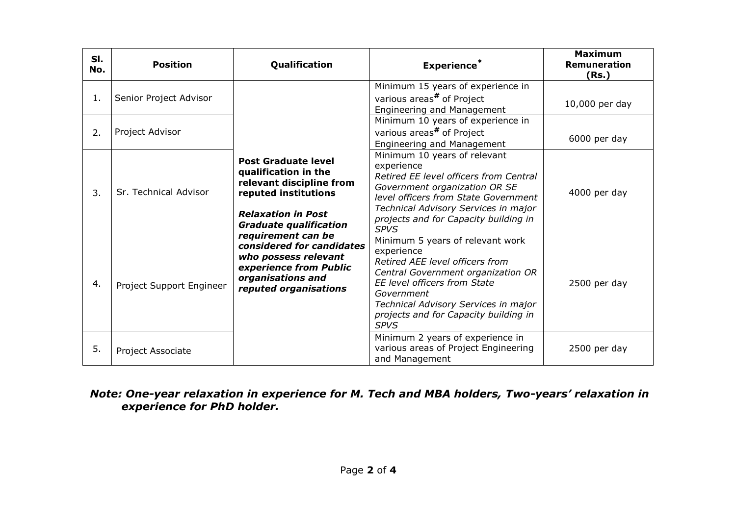| SI.<br>No. | <b>Position</b>          | Qualification                                                                                                                                                                                                                                                                                                           | Experience <sup>*</sup>                                                                                                                                                                                                                                               | <b>Maximum</b><br><b>Remuneration</b><br>(Rs.) |
|------------|--------------------------|-------------------------------------------------------------------------------------------------------------------------------------------------------------------------------------------------------------------------------------------------------------------------------------------------------------------------|-----------------------------------------------------------------------------------------------------------------------------------------------------------------------------------------------------------------------------------------------------------------------|------------------------------------------------|
| 1.         | Senior Project Advisor   | <b>Post Graduate level</b><br>qualification in the<br>relevant discipline from<br>reputed institutions<br><b>Relaxation in Post</b><br><b>Graduate qualification</b><br>requirement can be<br>considered for candidates<br>who possess relevant<br>experience from Public<br>organisations and<br>reputed organisations | Minimum 15 years of experience in<br>various areas <sup>#</sup> of Project<br><b>Engineering and Management</b>                                                                                                                                                       | 10,000 per day                                 |
| 2.         | Project Advisor          |                                                                                                                                                                                                                                                                                                                         | Minimum 10 years of experience in<br>various areas <sup>#</sup> of Project<br><b>Engineering and Management</b>                                                                                                                                                       | 6000 per day                                   |
| 3.         | Sr. Technical Advisor    |                                                                                                                                                                                                                                                                                                                         | Minimum 10 years of relevant<br>experience<br>Retired EE level officers from Central<br>Government organization OR SE<br>level officers from State Government<br>Technical Advisory Services in major<br>projects and for Capacity building in<br><b>SPVS</b>         | 4000 per day                                   |
| 4.         | Project Support Engineer |                                                                                                                                                                                                                                                                                                                         | Minimum 5 years of relevant work<br>experience<br>Retired AEE level officers from<br>Central Government organization OR<br>EE level officers from State<br>Government<br>Technical Advisory Services in major<br>projects and for Capacity building in<br><b>SPVS</b> | 2500 per day                                   |
| 5.         | Project Associate        |                                                                                                                                                                                                                                                                                                                         | Minimum 2 years of experience in<br>various areas of Project Engineering<br>and Management                                                                                                                                                                            | 2500 per day                                   |

*Note: One-year relaxation in experience for M. Tech and MBA holders, Two-years' relaxation in experience for PhD holder.*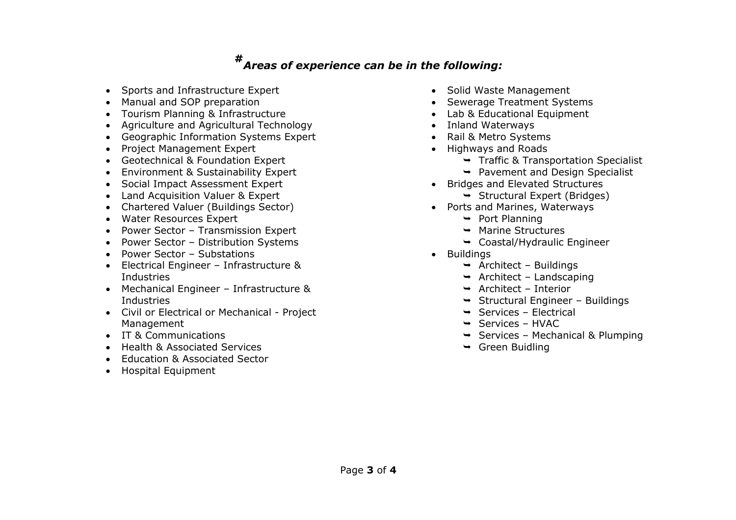## **#** *Areas of experience can be in the following:*

- Sports and Infrastructure Expert
- Manual and SOP preparation
- Tourism Planning & Infrastructure
- Agriculture and Agricultural Technology
- Geographic Information Systems Expert
- Project Management Expert
- Geotechnical & Foundation Expert
- Environment & Sustainability Expert
- Social Impact Assessment Expert
- Land Acquisition Valuer & Expert
- Chartered Valuer (Buildings Sector)
- Water Resources Expert
- Power Sector Transmission Expert
- Power Sector Distribution Systems
- Power Sector Substations
- Electrical Engineer Infrastructure & **Industries**
- Mechanical Engineer Infrastructure & Industries
- Civil or Electrical or Mechanical Project Management
- IT & Communications
- Health & Associated Services
- Education & Associated Sector
- Hospital Equipment
- Solid Waste Management
- Sewerage Treatment Systems
- Lab & Educational Equipment
- Inland Waterways
- Rail & Metro Systems
- Highways and Roads
	- $\rightarrow$  Traffic & Transportation Specialist
	- $\rightarrow$  Pavement and Design Specialist
- Bridges and Elevated Structures
	- $\rightarrow$  Structural Expert (Bridges)
- Ports and Marines, Waterways
	- $\rightarrow$  Port Planning
	- $\rightarrow$  Marine Structures
	- $\rightarrow$  Coastal/Hydraulic Engineer
- Buildings
	- $\rightarrow$  Architect Buildings
	- $\rightarrow$  Architect Landscaping
	- $\rightarrow$  Architect Interior
	- $\rightarrow$  Structural Engineer Buildings
	- $\rightarrow$  Services Electrical
	- $\rightarrow$  Services HVAC
	- $\rightarrow$  Services Mechanical & Plumping
	- $\rightarrow$  Green Buidling